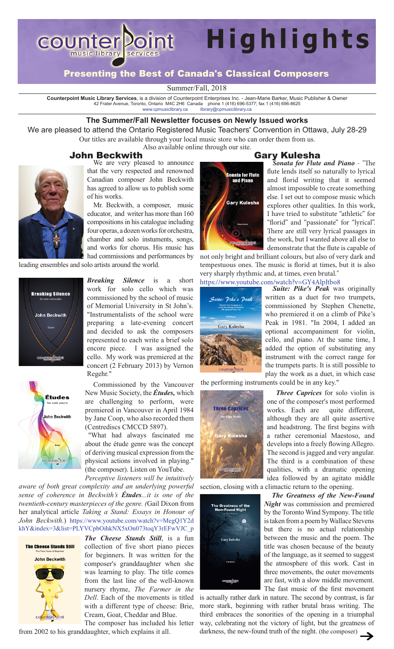

## Presenting the Best of Canada's Classical Composers

Summer/Fall, 2018

Counterpoint Music Library Services, is a division of Counterpoint Enterprises Inc. - Jean-Marie Barker, Music Publisher & Owner<br>42 Frater Avenue, Toronto, Ontario M4C 2H6 Canada phone 1 (416) 696-5377; fax 1 (416) 696-862 <www.cpmusiclibrary.ca>[library@cpmusiclibrary.ca](mailto:library@cpmusiclibrary.ca)

### **The Summer/Fall Newsletter focuses on Newly Issued works**

We are pleased to attend the Ontario Registered Music Teachers' Convention in Ottawa, July 28-29 Our titles are available through your local music store who can order them from us. Also available online through our site.

### John Beckwith



**Gary Kulesha**<br>We are very pleased to announce **Cary Kulesha** Sonata for Flute that the very respected and renowned Canadian composer John Beckwith has agreed to allow us to publish some of his works.

Mr. Beckwith, a composer, music educator, and writer has more than 160 compositions in his catalogue including four operas, a dozen works for orchestra, chamber and solo instuments, songs, and works for chorus. His music has had commissions and performances by

leading ensembles and solo artists around the world.





*Breaking Silence* is a short work for solo cello which was commissioned by the school of music of Memorial University in St John's. "Instrumentalists of the school were preparing a late-evening concert and decided to ask the composers represented to each write a brief solo encore piece. I was assigned the cello. My work was premiered at the concert (2 February 2013) by Vernon Regehr."

Commissioned by the Vancouver New Music Society, the *Études,* which are challenging to perform, were premiered in Vancouver in April 1984 by Jane Coop, who also recorded them (Centrediscs CMCCD 5897).

"What had always fascinated me about the étude genre was the concept of deriving musical expression from the physical actions involved in playing." (the composer). Listen on YouTube.

*Perceptive listeners will be intuitively aware of both great complexity and an underlying powerful sense of coherence in Beckwith's Études...it is one of the twentieth-century masterpieces of the genre. (*Gail Dixon from her analytical article *Taking a Stand: Essays in Honour of John Beckwith*.) [https://www.youtube.com/watch?v=MegQ1Y2d](https://www.youtube.com/watch?v=MegQ1Y2dkhY&index=3&list=PLYVCpbOihkNX5xOn073toqY3rEFwVJC_p) [khY&index=3&list=PLYVCpbOihkNX5xOn073toqY3rEFwVJC\\_p](https://www.youtube.com/watch?v=MegQ1Y2dkhY&index=3&list=PLYVCpbOihkNX5xOn073toqY3rEFwVJC_p)



*The Cheese Stands Still*, is a fun collection of five short piano pieces for beginners. It was written for the composer's granddaughter when she was learning to play. The title comes from the last line of the well-known nursery rhyme, *The Farmer in the Dell*. Each of the movements is titled with a different type of cheese: Brie, Cream, Goat, Cheddar and Blue.

The composer has included his letter from 2002 to his granddaughter, which explains it all.

**Highlights**



*Sonata for Flute and Piano* - "The flute lends itself so naturally to lyrical and florid writing that it seemed almost impossible to create something else. I set out to compose music which explores other qualities. In this work, I have tried to substitute "athletic" for "florid" and "passionate" for "lyrical". There are still very lyrical passages in the work, but I wanted above all else to demonstrate that the flute is capable of

not only bright and brilliant colours, but also of very dark and tempestuous ones. The music is florid at times, but it is also very sharply rhythmic and, at times, even brutal." <https://www.youtube.com/watch?v=GY4AlpJtbo8>



*Suite: Pike's Peak* was originally written as a duet for two trumpets, commissioned by Stephen Chenette, who premiered it on a climb of Pike's Peak in 1981. "In 2004, I added an optional accompaniment for violin, cello, and piano. At the same time, I added the option of substituting any instrument with the correct range for the trumpets parts. It is still possible to play the work as a duet, in which case

*Three Caprices* for solo violin is one of the composer's most performed works. Each are quite different, although they are all quite assertive and headstrong. The first begins with a rather ceremonial Maestoso, and develops into a freely flowing Allegro. The second is jagged and very angular. The third is a combination of these qualities, with a dramatic opening idea followed by an agitato middle

the performing instruments could be in any key."



section, closing with a climactic return to the opening.



*The Greatness of the New-Found Night* was commission and premiered by the Toronto Wind Sympony. The title is taken from a poem by Wallace Stevens but there is no actual relationship between the music and the poem. The title was chosen because of the beauty of the language, as it seemed to suggest the atmosphere of this work. Cast in three movements, the outer movements are fast, with a slow middle movement. The fast music of the first movement

is actually rather dark in nature. The second by contrast, is far more stark, beginning with rather brutal brass writing. The third embraces the sonorities of the opening in a triumphal way, celebrating not the victory of light, but the greatness of darkness, the new-found truth of the night. (the composer)